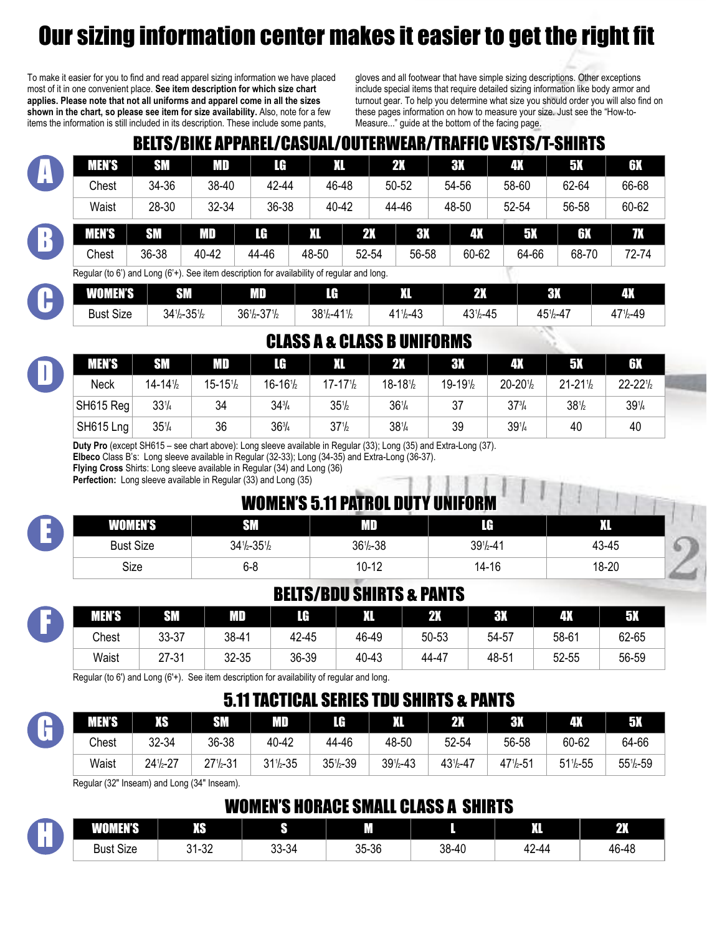# Our sizing information center makes it easier to get the right fit

To make it easier for you to find and read apparel sizing information we have placed most of it in one convenient place. **See item description for which size chart applies. Please note that not all uniforms and apparel come in all the sizes shown in the chart, so please see item for size availability.** Also, note for a few items the information is still included in its description. These include some pants,

gloves and all footwear that have simple sizing descriptions. Other exceptions include special items that require detailed sizing information like body armor and turnout gear. To help you determine what size you should order you will also find on these pages information on how to measure your size. Just see the "How-to-Measure..." guide at the bottom of the facing page.

# BELTS/BIKE APPAREL/CASUAL/OUTERWEAR/TRAFFIC VESTS/T-SHIRTS

|              | <b>MEN'S</b> | <b>SM</b> | MD    | TG.   | VЛ    |       | 2X        | <b>3X</b> | 4Х    | ΕЖ    | 6X    |
|--------------|--------------|-----------|-------|-------|-------|-------|-----------|-----------|-------|-------|-------|
| $\mathbf{u}$ | Chest        | 34-36     | 38-40 | 42-44 | 46-48 |       | 50-52     | 54-56     | 58-60 | 62-64 | 66-68 |
|              | Waist        | 28-30     | 32-34 | 36-38 | 40-42 |       | 44-46     | 48-50     | 52-54 | 56-58 | 60-62 |
|              | MEN'S        | <b>SM</b> | MD    | LA    | XI.   | 2X    | <b>3X</b> | 4X        | 5Х    | 6X    | 77    |
|              | Chest        | 36-38     | 40-42 | 44-46 | 48-50 | 52-54 | 56-58     | 60-62     | 64-66 | 68-70 | 72-74 |

Regular (to 6') and Long (6'+). See item description for availability of regular and long.

| umurve<br>'UW<br>нь | <b>SM</b>                       | MГ                         | $\mathbf F$             | ш<br>W.                 | 2X       | G٣<br>ו נפ   | $\Phi_{\Lambda}$   |
|---------------------|---------------------------------|----------------------------|-------------------------|-------------------------|----------|--------------|--------------------|
| <b>Bust Size</b>    | $34\frac{1}{2} - 35\frac{1}{2}$ | 271<br>$361/2 - 37$<br>-12 | $381/2 - 411/2$<br>l 12 | $41^{11}$<br>$1/2 - 43$ | 431/2-45 | $451/2 - 47$ | $171/2 - 49$<br>д. |

#### CLASS A & CLASS B UNIFORMS

| <b>MEN'S</b> | <b>SM</b>            | MD                   | LG                   |                                | 2X                             | <b>3X</b> | 4X           | 5X                             | 6X                             |
|--------------|----------------------|----------------------|----------------------|--------------------------------|--------------------------------|-----------|--------------|--------------------------------|--------------------------------|
| Neck         | $14 - 14\frac{1}{2}$ | $15 - 15\frac{1}{2}$ | $16 - 16\frac{1}{2}$ | $17 - 171/2$                   | $18 - 18\frac{1}{2}$           | 19-191/2  | $20 - 201/2$ | $21 - 21\frac{1}{2}$           | $22 - 221$                     |
| SH615 Reg    | $33\frac{1}{4}$      | 34                   | $34\frac{3}{4}$      | $35\frac{1}{2}$                | 36 <sup>1</sup> / <sub>4</sub> | 37        | 37%          | 38 <sup>1</sup> / <sub>2</sub> | 39 <sup>1</sup> / <sub>4</sub> |
| SH615 Lng    | 35%                  | 36                   | $36\frac{3}{4}$      | 37 <sup>1</sup> / <sub>2</sub> | $38\frac{1}{4}$                | 39        | 391/4        | 40                             | 40                             |

**Duty Pro** (except SH615 – see chart above): Long sleeve available in Regular (33); Long (35) and Extra-Long (37).

**Elbeco** Class B's: Long sleeve available in Regular (32-33); Long (34-35) and Extra-Long (36-37).

**Flying Cross** Shirts: Long sleeve available in Regular (34) and Long (36)

**Perfection:** Long sleeve available in Regular (33) and Long (35)

|                  |                                 | <b>WOMEN'S 5.11 PATROL DUTY UNIFORM</b> |                      |       |  |
|------------------|---------------------------------|-----------------------------------------|----------------------|-------|--|
| <b>WOMEN'S</b>   |                                 | MD                                      | LG                   | XI.   |  |
| <b>Bust Size</b> | $34\frac{1}{2} - 35\frac{1}{2}$ | $36\frac{1}{2} - 38$                    | $39\frac{1}{2} - 41$ | 43-45 |  |
| Size             | $6 - 8$                         | $10 - 12$                               | 14-16                | 18-20 |  |

#### BELTS/BDU SHIRTS & PANTS

| <b>MEN'S</b> | SM    | MD.   | IG    | XI.   | <b>2X</b> | <b>3X</b> | 4X    | 5X    |
|--------------|-------|-------|-------|-------|-----------|-----------|-------|-------|
| Chest        | 33-37 | 38-41 | 42-45 | 46-49 | 50-53     | 54-57     | 58-61 | 62-65 |
| Waist        | 27-31 | 32-35 | 36-39 | 40-43 | 44-47     | 48-51     | 52-55 | 56-59 |

Regular (to 6') and Long (6'+). See item description for availability of regular and long.

#### 5.11 TACTICAL SERIES TDU SHIRTS & PANTS

|      | <b>MEN'S</b> | XS       | <b>SM</b>            | MD                   |                      | XI.                  | <b>2X</b>          | י נים                                | 4X                   | <b>67.</b> |
|------|--------------|----------|----------------------|----------------------|----------------------|----------------------|--------------------|--------------------------------------|----------------------|------------|
| a an | Chest        | 32-34    | 36-38                | 40-42                | 44-46                | 48-50                | 52-54              | 56-58                                | 60-62                | 64-66      |
|      | Waist        | 241/2-27 | $27\frac{1}{2} - 31$ | $31\frac{1}{2} - 35$ | $35\frac{1}{2} - 39$ | $39\frac{1}{2} - 43$ | $43^{1}/_{2} - 47$ | $47$ <sup>1</sup> / <sub>2</sub> -51 | $51\frac{1}{2} - 55$ | 551/2-59   |

Regular (32" Inseam) and Long (34" Inseam).

F

E

D

C

# WOMEN'S HORACE SMALL CLASS A SHIRTS

| n na             | w.<br>4O)                        | __                        | __<br>__<br>_ | __    | m<br>w      | w<br>2M |
|------------------|----------------------------------|---------------------------|---------------|-------|-------------|---------|
| <b>Bust Size</b> | ാറ<br>$^{\circ}$<br><b>JI-JZ</b> | $\sim$<br>$\sim$<br>33-34 | 35-36         | 38-40 | 10<br>42-44 | 46-48   |